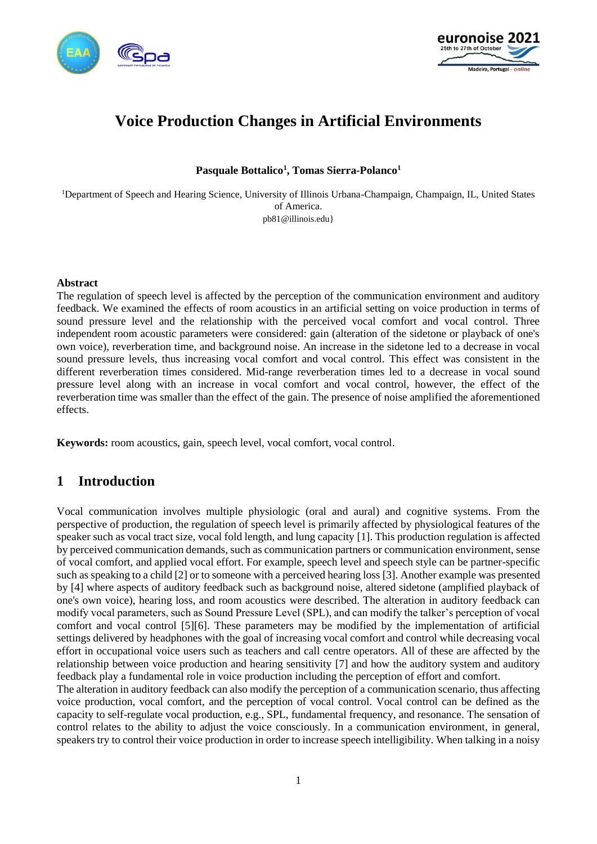



# **Voice Production Changes in Artificial Environments**

**Pasquale Bottalico<sup>1</sup> , Tomas Sierra-Polanco<sup>1</sup>**

<sup>1</sup>Department of Speech and Hearing Science, University of Illinois Urbana-Champaign, Champaign, IL, United States of America. pb81@illinois.edu}

#### **Abstract**

The regulation of speech level is affected by the perception of the communication environment and auditory feedback. We examined the effects of room acoustics in an artificial setting on voice production in terms of sound pressure level and the relationship with the perceived vocal comfort and vocal control. Three independent room acoustic parameters were considered: gain (alteration of the sidetone or playback of one's own voice), reverberation time, and background noise. An increase in the sidetone led to a decrease in vocal sound pressure levels, thus increasing vocal comfort and vocal control. This effect was consistent in the different reverberation times considered. Mid-range reverberation times led to a decrease in vocal sound pressure level along with an increase in vocal comfort and vocal control, however, the effect of the reverberation time was smaller than the effect of the gain. The presence of noise amplified the aforementioned effects.

**Keywords:** room acoustics, gain, speech level, vocal comfort, vocal control.

# **1 Introduction**

Vocal communication involves multiple physiologic (oral and aural) and cognitive systems. From the perspective of production, the regulation of speech level is primarily affected by physiological features of the speaker such as vocal tract size, vocal fold length, and lung capacity [\[1\].](#page-8-0) This production regulation is affected by perceived communication demands, such as communication partners or communication environment, sense of vocal comfort, and applied vocal effort. For example, speech level and speech style can be partner-specific such as speaking to a child [\[2\]](#page-8-1) or to someone with a perceived hearing los[s \[3\].](#page-8-2) Another example was presented by [\[4\]](#page-8-3) where aspects of auditory feedback such as background noise, altered sidetone (amplified playback of one's own voice), hearing loss, and room acoustics were described. The alteration in auditory feedback can modify vocal parameters, such as Sound Pressure Level (SPL), and can modify the talker's perception of vocal comfort and vocal control [\[5\]\[6\].](#page-8-4) These parameters may be modified by the implementation of artificial settings delivered by headphones with the goal of increasing vocal comfort and control while decreasing vocal effort in occupational voice users such as teachers and call centre operators. All of these are affected by the relationship between voice production and hearing sensitivity [\[7\]](#page-8-5) and how the auditory system and auditory feedback play a fundamental role in voice production including the perception of effort and comfort.

The alteration in auditory feedback can also modify the perception of a communication scenario, thus affecting voice production, vocal comfort, and the perception of vocal control. Vocal control can be defined as the capacity to self-regulate vocal production, e.g., SPL, fundamental frequency, and resonance. The sensation of control relates to the ability to adjust the voice consciously. In a communication environment, in general, speakers try to control their voice production in order to increase speech intelligibility. When talking in a noisy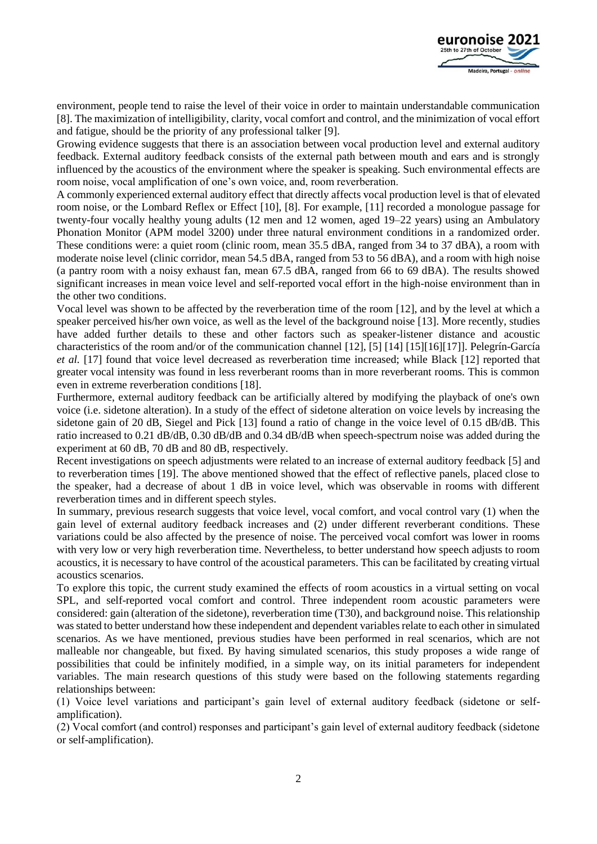

environment, people tend to raise the level of their voice in order to maintain understandable communication [\[8\].](#page-8-6) The maximization of intelligibility, clarity, vocal comfort and control, and the minimization of vocal effort and fatigue, should be the priority of any professional talker [\[9\].](#page-8-7)

Growing evidence suggests that there is an association between vocal production level and external auditory feedback. External auditory feedback consists of the external path between mouth and ears and is strongly influenced by the acoustics of the environment where the speaker is speaking. Such environmental effects are room noise, vocal amplification of one's own voice, and, room reverberation.

A commonly experienced external auditory effect that directly affects vocal production level is that of elevated room noise, or the Lombard Reflex or Effect [\[10\],](#page-8-8) [\[8\].](#page-8-6) For example, [\[11\]](#page-8-9) recorded a monologue passage for twenty-four vocally healthy young adults (12 men and 12 women, aged 19–22 years) using an Ambulatory Phonation Monitor (APM model 3200) under three natural environment conditions in a randomized order. These conditions were: a quiet room (clinic room, mean 35.5 dBA, ranged from 34 to 37 dBA), a room with moderate noise level (clinic corridor, mean 54.5 dBA, ranged from 53 to 56 dBA), and a room with high noise (a pantry room with a noisy exhaust fan, mean 67.5 dBA, ranged from 66 to 69 dBA). The results showed significant increases in mean voice level and self-reported vocal effort in the high-noise environment than in the other two conditions.

Vocal level was shown to be affected by the reverberation time of the room [\[12\],](#page-8-10) and by the level at which a speaker perceived his/her own voice, as well as the level of the background noise [\[13\].](#page-8-11) More recently, studies have added further details to these and other factors such as speaker-listener distance and acoustic characteristics of the room and/or of the communication channel [\[12\],](#page-8-10) [\[5\]](#page-8-4) [\[14\]](#page-9-0) [\[15\]\[16\]](#page-9-1)[\[17\]\]](#page-9-2). Pelegrín-García *et al.* [\[17\]](#page-9-2) found that voice level decreased as reverberation time increased; while Black [\[12\]](#page-8-10) reported that greater vocal intensity was found in less reverberant rooms than in more reverberant rooms. This is common even in extreme reverberation conditions [\[18\].](#page-9-3)

Furthermore, external auditory feedback can be artificially altered by modifying the playback of one's own voice (i.e. sidetone alteration). In a study of the effect of sidetone alteration on voice levels by increasing the sidetone gain of 20 dB, Siegel and Pick [\[13\]](#page-8-11) found a ratio of change in the voice level of 0.15 dB/dB. This ratio increased to 0.21 dB/dB, 0.30 dB/dB and 0.34 dB/dB when speech-spectrum noise was added during the experiment at 60 dB, 70 dB and 80 dB, respectively.

Recent investigations on speech adjustments were related to an increase of external auditory feedback [\[5\]](#page-8-4) and to reverberation times [\[19\].](#page-9-4) The above mentioned showed that the effect of reflective panels, placed close to the speaker, had a decrease of about 1 dB in voice level, which was observable in rooms with different reverberation times and in different speech styles.

In summary, previous research suggests that voice level, vocal comfort, and vocal control vary (1) when the gain level of external auditory feedback increases and (2) under different reverberant conditions. These variations could be also affected by the presence of noise. The perceived vocal comfort was lower in rooms with very low or very high reverberation time. Nevertheless, to better understand how speech adjusts to room acoustics, it is necessary to have control of the acoustical parameters. This can be facilitated by creating virtual acoustics scenarios.

To explore this topic, the current study examined the effects of room acoustics in a virtual setting on vocal SPL, and self-reported vocal comfort and control. Three independent room acoustic parameters were considered: gain (alteration of the sidetone), reverberation time (T30), and background noise. This relationship was stated to better understand how these independent and dependent variables relate to each other in simulated scenarios. As we have mentioned, previous studies have been performed in real scenarios, which are not malleable nor changeable, but fixed. By having simulated scenarios, this study proposes a wide range of possibilities that could be infinitely modified, in a simple way, on its initial parameters for independent variables. The main research questions of this study were based on the following statements regarding relationships between:

(1) Voice level variations and participant's gain level of external auditory feedback (sidetone or selfamplification).

(2) Vocal comfort (and control) responses and participant's gain level of external auditory feedback (sidetone or self-amplification).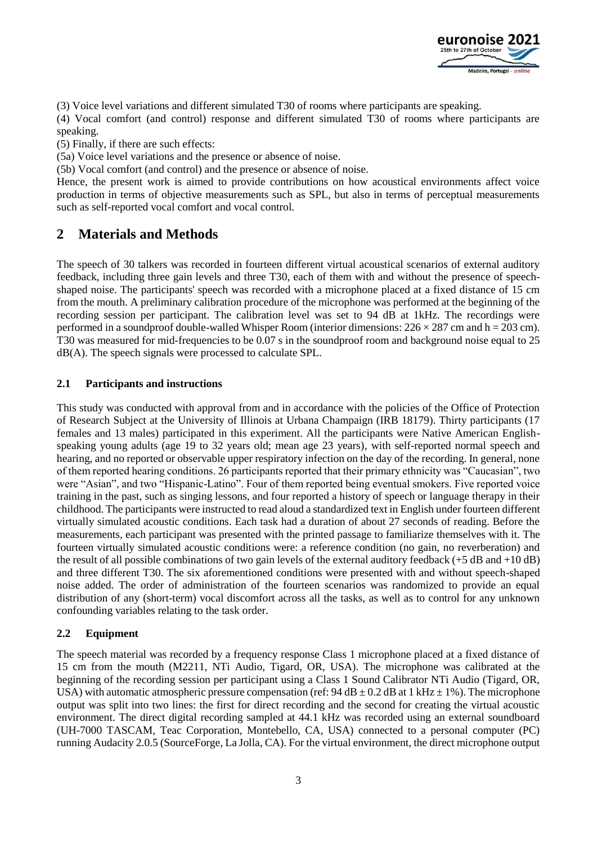

(3) Voice level variations and different simulated T30 of rooms where participants are speaking.

(4) Vocal comfort (and control) response and different simulated T30 of rooms where participants are speaking.

(5) Finally, if there are such effects:

(5a) Voice level variations and the presence or absence of noise.

(5b) Vocal comfort (and control) and the presence or absence of noise.

Hence, the present work is aimed to provide contributions on how acoustical environments affect voice production in terms of objective measurements such as SPL, but also in terms of perceptual measurements such as self-reported vocal comfort and vocal control.

# **2 Materials and Methods**

The speech of 30 talkers was recorded in fourteen different virtual acoustical scenarios of external auditory feedback, including three gain levels and three T30, each of them with and without the presence of speechshaped noise. The participants' speech was recorded with a microphone placed at a fixed distance of 15 cm from the mouth. A preliminary calibration procedure of the microphone was performed at the beginning of the recording session per participant. The calibration level was set to 94 dB at 1kHz. The recordings were performed in a soundproof double-walled Whisper Room (interior dimensions:  $226 \times 287$  cm and h = 203 cm). T30 was measured for mid-frequencies to be 0.07 s in the soundproof room and background noise equal to 25 dB(A). The speech signals were processed to calculate SPL.

### **2.1 Participants and instructions**

This study was conducted with approval from and in accordance with the policies of the Office of Protection of Research Subject at the University of Illinois at Urbana Champaign (IRB 18179). Thirty participants (17 females and 13 males) participated in this experiment. All the participants were Native American Englishspeaking young adults (age 19 to 32 years old; mean age 23 years), with self-reported normal speech and hearing, and no reported or observable upper respiratory infection on the day of the recording. In general, none of them reported hearing conditions. 26 participants reported that their primary ethnicity was "Caucasian", two were "Asian", and two "Hispanic-Latino". Four of them reported being eventual smokers. Five reported voice training in the past, such as singing lessons, and four reported a history of speech or language therapy in their childhood. The participants were instructed to read aloud a standardized text in English under fourteen different virtually simulated acoustic conditions. Each task had a duration of about 27 seconds of reading. Before the measurements, each participant was presented with the printed passage to familiarize themselves with it. The fourteen virtually simulated acoustic conditions were: a reference condition (no gain, no reverberation) and the result of all possible combinations of two gain levels of the external auditory feedback (+5 dB and +10 dB) and three different T30. The six aforementioned conditions were presented with and without speech-shaped noise added. The order of administration of the fourteen scenarios was randomized to provide an equal distribution of any (short-term) vocal discomfort across all the tasks, as well as to control for any unknown confounding variables relating to the task order.

### **2.2 Equipment**

The speech material was recorded by a frequency response Class 1 microphone placed at a fixed distance of 15 cm from the mouth (M2211, NTi Audio, Tigard, OR, USA). The microphone was calibrated at the beginning of the recording session per participant using a Class 1 Sound Calibrator NTi Audio (Tigard, OR, USA) with automatic atmospheric pressure compensation (ref:  $94 dB \pm 0.2 dB$  at 1 kHz  $\pm 1\%$ ). The microphone output was split into two lines: the first for direct recording and the second for creating the virtual acoustic environment. The direct digital recording sampled at 44.1 kHz was recorded using an external soundboard (UH-7000 TASCAM, Teac Corporation, Montebello, CA, USA) connected to a personal computer (PC) running Audacity 2.0.5 (SourceForge, La Jolla, CA). For the virtual environment, the direct microphone output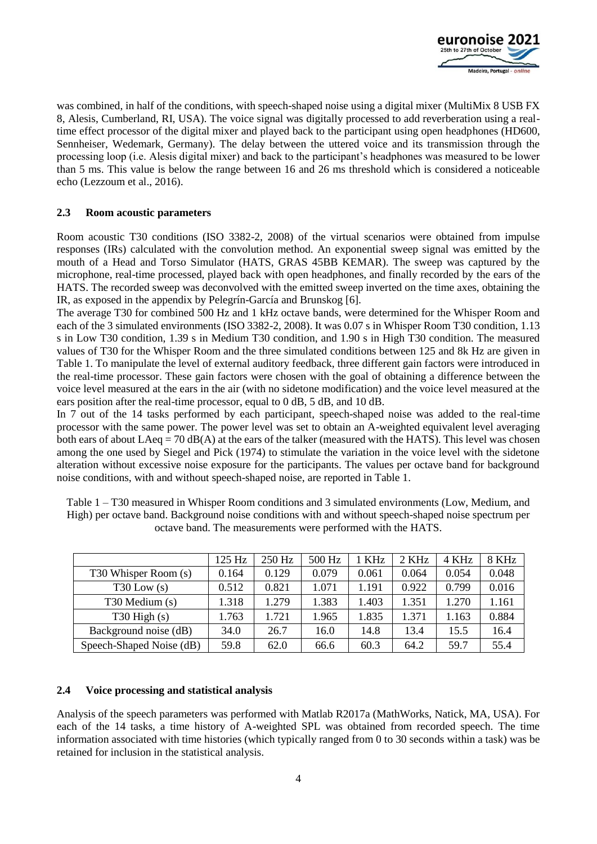

was combined, in half of the conditions, with speech-shaped noise using a digital mixer (MultiMix 8 USB FX 8, Alesis, Cumberland, RI, USA). The voice signal was digitally processed to add reverberation using a realtime effect processor of the digital mixer and played back to the participant using open headphones (HD600, Sennheiser, Wedemark, Germany). The delay between the uttered voice and its transmission through the processing loop (i.e. Alesis digital mixer) and back to the participant's headphones was measured to be lower than 5 ms. This value is below the range between 16 and 26 ms threshold which is considered a noticeable echo (Lezzoum et al., 2016).

#### **2.3 Room acoustic parameters**

Room acoustic T30 conditions (ISO 3382-2, 2008) of the virtual scenarios were obtained from impulse responses (IRs) calculated with the convolution method. An exponential sweep signal was emitted by the mouth of a Head and Torso Simulator (HATS, GRAS 45BB KEMAR). The sweep was captured by the microphone, real-time processed, played back with open headphones, and finally recorded by the ears of the HATS. The recorded sweep was deconvolved with the emitted sweep inverted on the time axes, obtaining the IR, as exposed in the appendix by Pelegrín-García and Brunskog [\[6\].](#page-8-12)

The average T30 for combined 500 Hz and 1 kHz octave bands, were determined for the Whisper Room and each of the 3 simulated environments (ISO 3382-2, 2008). It was 0.07 s in Whisper Room T30 condition, 1.13 s in Low T30 condition, 1.39 s in Medium T30 condition, and 1.90 s in High T30 condition. The measured values of T30 for the Whisper Room and the three simulated conditions between 125 and 8k Hz are given in Table 1. To manipulate the level of external auditory feedback, three different gain factors were introduced in the real-time processor. These gain factors were chosen with the goal of obtaining a difference between the voice level measured at the ears in the air (with no sidetone modification) and the voice level measured at the ears position after the real-time processor, equal to 0 dB, 5 dB, and 10 dB.

In 7 out of the 14 tasks performed by each participant, speech-shaped noise was added to the real-time processor with the same power. The power level was set to obtain an A-weighted equivalent level averaging both ears of about  $LAeq = 70$  dB(A) at the ears of the talker (measured with the HATS). This level was chosen among the one used by Siegel and Pick (1974) to stimulate the variation in the voice level with the sidetone alteration without excessive noise exposure for the participants. The values per octave band for background noise conditions, with and without speech-shaped noise, are reported in Table 1.

Table 1 – T30 measured in Whisper Room conditions and 3 simulated environments (Low, Medium, and High) per octave band. Background noise conditions with and without speech-shaped noise spectrum per octave band. The measurements were performed with the HATS.

|                          | 125 Hz | 250 Hz | 500 Hz | 1 KHz | 2 KHz | 4 KHz | 8 KHz |
|--------------------------|--------|--------|--------|-------|-------|-------|-------|
| T30 Whisper Room (s)     | 0.164  | 0.129  | 0.079  | 0.061 | 0.064 | 0.054 | 0.048 |
| $T30$ Low $(s)$          | 0.512  | 0.821  | 1.071  | 1.191 | 0.922 | 0.799 | 0.016 |
| T30 Medium (s)           | .318   | 1.279  | 1.383  | 1.403 | 1.351 | 1.270 | 1.161 |
| $T30$ High $(s)$         | .763   | 1.721  | 1.965  | 1.835 | 1.371 | 1.163 | 0.884 |
| Background noise (dB)    | 34.0   | 26.7   | 16.0   | 14.8  | 13.4  | 15.5  | 16.4  |
| Speech-Shaped Noise (dB) | 59.8   | 62.0   | 66.6   | 60.3  | 64.2  | 59.7  | 55.4  |

### **2.4 Voice processing and statistical analysis**

Analysis of the speech parameters was performed with Matlab R2017a (MathWorks, Natick, MA, USA). For each of the 14 tasks, a time history of A-weighted SPL was obtained from recorded speech. The time information associated with time histories (which typically ranged from 0 to 30 seconds within a task) was be retained for inclusion in the statistical analysis.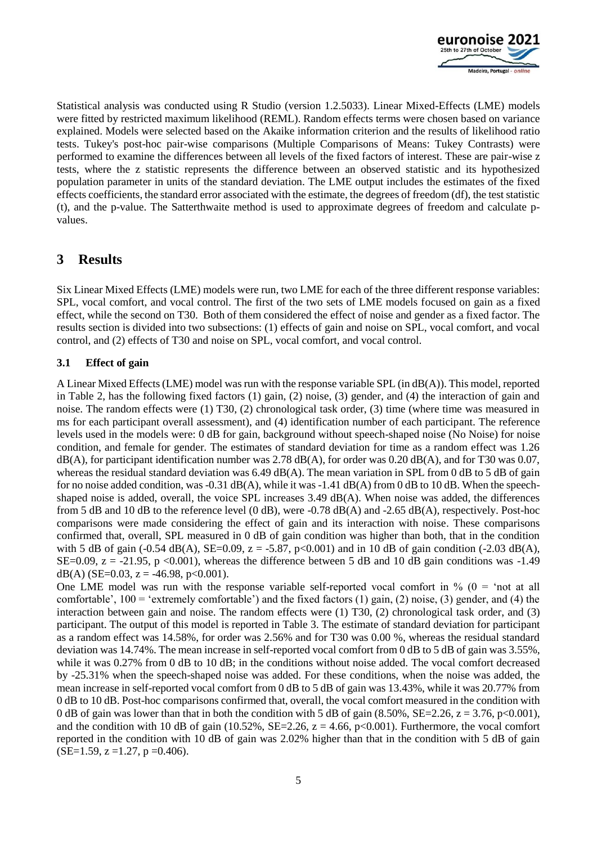

Statistical analysis was conducted using R Studio (version 1.2.5033). Linear Mixed-Effects (LME) models were fitted by restricted maximum likelihood (REML). Random effects terms were chosen based on variance explained. Models were selected based on the Akaike information criterion and the results of likelihood ratio tests. Tukey's post-hoc pair-wise comparisons (Multiple Comparisons of Means: Tukey Contrasts) were performed to examine the differences between all levels of the fixed factors of interest. These are pair-wise z tests, where the z statistic represents the difference between an observed statistic and its hypothesized population parameter in units of the standard deviation. The LME output includes the estimates of the fixed effects coefficients, the standard error associated with the estimate, the degrees of freedom (df), the test statistic (t), and the p-value. The Satterthwaite method is used to approximate degrees of freedom and calculate pvalues.

# **3 Results**

Six Linear Mixed Effects (LME) models were run, two LME for each of the three different response variables: SPL, vocal comfort, and vocal control. The first of the two sets of LME models focused on gain as a fixed effect, while the second on T30. Both of them considered the effect of noise and gender as a fixed factor. The results section is divided into two subsections: (1) effects of gain and noise on SPL, vocal comfort, and vocal control, and (2) effects of T30 and noise on SPL, vocal comfort, and vocal control.

### **3.1 Effect of gain**

A Linear Mixed Effects (LME) model was run with the response variable SPL (in  $dB(A)$ ). This model, reported in Table 2, has the following fixed factors (1) gain, (2) noise, (3) gender, and (4) the interaction of gain and noise. The random effects were (1) T30, (2) chronological task order, (3) time (where time was measured in ms for each participant overall assessment), and (4) identification number of each participant. The reference levels used in the models were: 0 dB for gain, background without speech-shaped noise (No Noise) for noise condition, and female for gender. The estimates of standard deviation for time as a random effect was 1.26 dB(A), for participant identification number was 2.78 dB(A), for order was 0.20 dB(A), and for T30 was 0.07, whereas the residual standard deviation was 6.49 dB(A). The mean variation in SPL from 0 dB to 5 dB of gain for no noise added condition, was  $-0.31$  dB(A), while it was  $-1.41$  dB(A) from 0 dB to 10 dB. When the speechshaped noise is added, overall, the voice SPL increases 3.49 dB(A). When noise was added, the differences from 5 dB and 10 dB to the reference level (0 dB), were -0.78 dB(A) and -2.65 dB(A), respectively. Post-hoc comparisons were made considering the effect of gain and its interaction with noise. These comparisons confirmed that, overall, SPL measured in 0 dB of gain condition was higher than both, that in the condition with 5 dB of gain (-0.54 dB(A), SE=0.09, z = -5.87, p<0.001) and in 10 dB of gain condition (-2.03 dB(A), SE=0.09,  $z = -21.95$ ,  $p < 0.001$ ), whereas the difference between 5 dB and 10 dB gain conditions was -1.49 dB(A) (SE=0.03, z = -46.98, p<0.001).

One LME model was run with the response variable self-reported vocal comfort in  $\%$  (0 = 'not at all comfortable',  $100 = 'extremely comfortable')$  and the fixed factors (1) gain, (2) noise, (3) gender, and (4) the interaction between gain and noise. The random effects were (1) T30, (2) chronological task order, and (3) participant. The output of this model is reported in Table 3. The estimate of standard deviation for participant as a random effect was 14.58%, for order was 2.56% and for T30 was 0.00 %, whereas the residual standard deviation was 14.74%. The mean increase in self-reported vocal comfort from 0 dB to 5 dB of gain was 3.55%, while it was 0.27% from 0 dB to 10 dB; in the conditions without noise added. The vocal comfort decreased by -25.31% when the speech-shaped noise was added. For these conditions, when the noise was added, the mean increase in self-reported vocal comfort from 0 dB to 5 dB of gain was 13.43%, while it was 20.77% from 0 dB to 10 dB. Post-hoc comparisons confirmed that, overall, the vocal comfort measured in the condition with 0 dB of gain was lower than that in both the condition with 5 dB of gain  $(8.50\%, SE=2.26, z=3.76, p<0.001)$ , and the condition with 10 dB of gain (10.52%, SE=2.26,  $z = 4.66$ , p<0.001). Furthermore, the vocal comfort reported in the condition with 10 dB of gain was 2.02% higher than that in the condition with 5 dB of gain  $(SE=1.59, z=1.27, p=0.406).$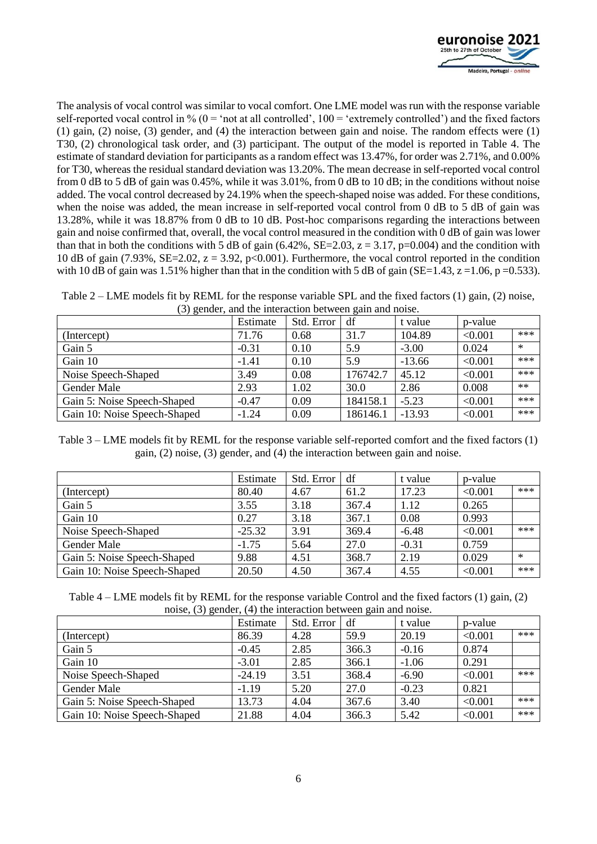

The analysis of vocal control was similar to vocal comfort. One LME model was run with the response variable self-reported vocal control in %  $(0 = 'not at all controlled', 100 = 'extremely controlled')$  and the fixed factors (1) gain, (2) noise, (3) gender, and (4) the interaction between gain and noise. The random effects were (1) T30, (2) chronological task order, and (3) participant. The output of the model is reported in Table 4. The estimate of standard deviation for participants as a random effect was 13.47%, for order was 2.71%, and 0.00% for T30, whereas the residual standard deviation was 13.20%. The mean decrease in self-reported vocal control from 0 dB to 5 dB of gain was 0.45%, while it was 3.01%, from 0 dB to 10 dB; in the conditions without noise added. The vocal control decreased by 24.19% when the speech-shaped noise was added. For these conditions, when the noise was added, the mean increase in self-reported vocal control from 0 dB to 5 dB of gain was 13.28%, while it was 18.87% from 0 dB to 10 dB. Post-hoc comparisons regarding the interactions between gain and noise confirmed that, overall, the vocal control measured in the condition with 0 dB of gain was lower than that in both the conditions with 5 dB of gain  $(6.42\%, SE=2.03, z = 3.17, p=0.004)$  and the condition with 10 dB of gain (7.93%, SE=2.02,  $z = 3.92$ , p<0.001). Furthermore, the vocal control reported in the condition with 10 dB of gain was 1.51% higher than that in the condition with 5 dB of gain (SE=1.43,  $z = 1.06$ , p =0.533).

Table 2 – LME models fit by REML for the response variable SPL and the fixed factors (1) gain, (2) noise, (3) gender, and the interaction between gain and noise.

|                              | Estimate | Std. Error | df       | t value  | p-value |        |
|------------------------------|----------|------------|----------|----------|---------|--------|
| (Intercept)                  | 71.76    | 0.68       | 31.7     | 104.89   | < 0.001 | ***    |
| Gain 5                       | $-0.31$  | 0.10       | 5.9      | $-3.00$  | 0.024   | $\ast$ |
| Gain 10                      | $-1.41$  | 0.10       | 5.9      | $-13.66$ | < 0.001 | $***$  |
| Noise Speech-Shaped          | 3.49     | 0.08       | 176742.7 | 45.12    | < 0.001 | ***    |
| <b>Gender Male</b>           | 2.93     | 1.02       | 30.0     | 2.86     | 0.008   | $**$   |
| Gain 5: Noise Speech-Shaped  | $-0.47$  | 0.09       | 184158.1 | $-5.23$  | < 0.001 | ***    |
| Gain 10: Noise Speech-Shaped | $-1.24$  | 0.09       | 186146.1 | $-13.93$ | < 0.001 | ***    |

Table 3 – LME models fit by REML for the response variable self-reported comfort and the fixed factors (1) gain, (2) noise, (3) gender, and (4) the interaction between gain and noise.

|                              | Estimate | Std. Error | df    | t value | p-value |        |
|------------------------------|----------|------------|-------|---------|---------|--------|
| (Intercept)                  | 80.40    | 4.67       | 61.2  | 17.23   | < 0.001 | ***    |
| Gain 5                       | 3.55     | 3.18       | 367.4 | 1.12    | 0.265   |        |
| Gain 10                      | 0.27     | 3.18       | 367.1 | 0.08    | 0.993   |        |
| Noise Speech-Shaped          | $-25.32$ | 3.91       | 369.4 | $-6.48$ | < 0.001 | ***    |
| <b>Gender Male</b>           | $-1.75$  | 5.64       | 27.0  | $-0.31$ | 0.759   |        |
| Gain 5: Noise Speech-Shaped  | 9.88     | 4.51       | 368.7 | 2.19    | 0.029   | $\ast$ |
| Gain 10: Noise Speech-Shaped | 20.50    | 4.50       | 367.4 | 4.55    | < 0.001 | ***    |

Table 4 – LME models fit by REML for the response variable Control and the fixed factors (1) gain, (2) noise, (3) gender, (4) the interaction between gain and noise.

| . . <i>. .</i> .             | Estimate | Std. Error | df    | t value | p-value |       |
|------------------------------|----------|------------|-------|---------|---------|-------|
| (Intercept)                  | 86.39    | 4.28       | 59.9  | 20.19   | < 0.001 | $***$ |
| Gain 5                       | $-0.45$  | 2.85       | 366.3 | $-0.16$ | 0.874   |       |
| Gain 10                      | $-3.01$  | 2.85       | 366.1 | $-1.06$ | 0.291   |       |
| Noise Speech-Shaped          | $-24.19$ | 3.51       | 368.4 | $-6.90$ | < 0.001 | ***   |
| <b>Gender Male</b>           | $-1.19$  | 5.20       | 27.0  | $-0.23$ | 0.821   |       |
| Gain 5: Noise Speech-Shaped  | 13.73    | 4.04       | 367.6 | 3.40    | < 0.001 | ***   |
| Gain 10: Noise Speech-Shaped | 21.88    | 4.04       | 366.3 | 5.42    | < 0.001 | ***   |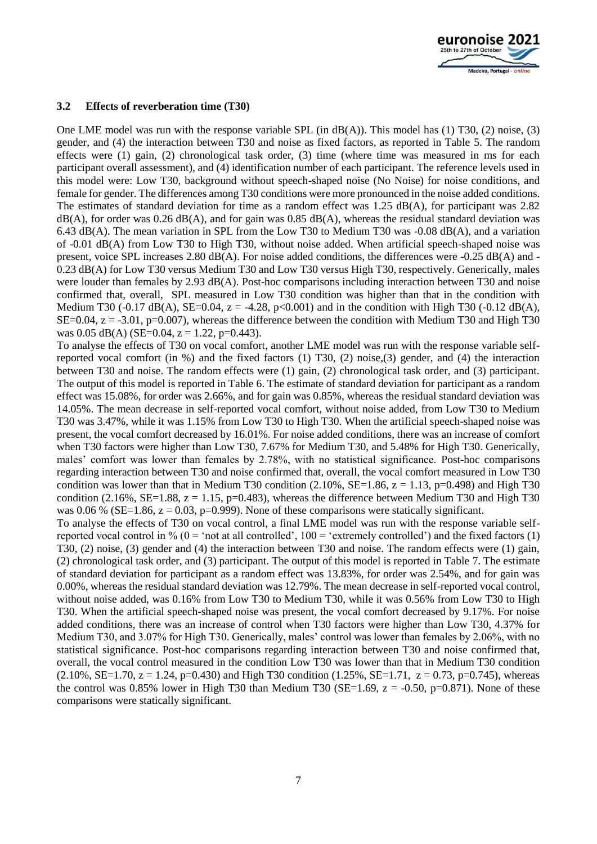

#### **3.2 Effects of reverberation time (T30)**

One LME model was run with the response variable SPL (in  $dB(A)$ ). This model has (1) T30, (2) noise, (3) gender, and (4) the interaction between T30 and noise as fixed factors, as reported in Table 5. The random effects were (1) gain, (2) chronological task order, (3) time (where time was measured in ms for each participant overall assessment), and (4) identification number of each participant. The reference levels used in this model were: Low T30, background without speech-shaped noise (No Noise) for noise conditions, and female for gender. The differences among T30 conditions were more pronounced in the noise added conditions. The estimates of standard deviation for time as a random effect was 1.25 dB(A), for participant was 2.82  $dB(A)$ , for order was 0.26 dB(A), and for gain was 0.85 dB(A), whereas the residual standard deviation was 6.43 dB(A). The mean variation in SPL from the Low T30 to Medium T30 was -0.08 dB(A), and a variation of -0.01 dB(A) from Low T30 to High T30, without noise added. When artificial speech-shaped noise was present, voice SPL increases 2.80 dB(A). For noise added conditions, the differences were -0.25 dB(A) and - 0.23 dB(A) for Low T30 versus Medium T30 and Low T30 versus High T30, respectively. Generically, males were louder than females by 2.93 dB(A). Post-hoc comparisons including interaction between T30 and noise confirmed that, overall, SPL measured in Low T30 condition was higher than that in the condition with Medium T30 (-0.17 dB(A), SE=0.04, z = -4.28, p<0.001) and in the condition with High T30 (-0.12 dB(A), SE=0.04,  $z = -3.01$ ,  $p=0.007$ ), whereas the difference between the condition with Medium T30 and High T30 was  $0.05$  dB(A) (SE= $0.04$ , z = 1.22, p= $0.443$ ).

To analyse the effects of T30 on vocal comfort, another LME model was run with the response variable selfreported vocal comfort (in %) and the fixed factors (1) T30, (2) noise,(3) gender, and (4) the interaction between T30 and noise. The random effects were (1) gain, (2) chronological task order, and (3) participant. The output of this model is reported in Table 6. The estimate of standard deviation for participant as a random effect was 15.08%, for order was 2.66%, and for gain was 0.85%, whereas the residual standard deviation was 14.05%. The mean decrease in self-reported vocal comfort, without noise added, from Low T30 to Medium T30 was 3.47%, while it was 1.15% from Low T30 to High T30. When the artificial speech-shaped noise was present, the vocal comfort decreased by 16.01%. For noise added conditions, there was an increase of comfort when T30 factors were higher than Low T30, 7.67% for Medium T30, and 5.48% for High T30. Generically, males' comfort was lower than females by 2.78%, with no statistical significance. Post-hoc comparisons regarding interaction between T30 and noise confirmed that, overall, the vocal comfort measured in Low T30 condition was lower than that in Medium T30 condition  $(2.10\%, \text{SE} = 1.86, z = 1.13, p=0.498)$  and High T30 condition (2.16%, SE=1.88,  $z = 1.15$ , p=0.483), whereas the difference between Medium T30 and High T30 was 0.06 % (SE=1.86,  $z = 0.03$ , p=0.999). None of these comparisons were statically significant.

To analyse the effects of T30 on vocal control, a final LME model was run with the response variable selfreported vocal control in  $\%$  (0 = 'not at all controlled', 100 = 'extremely controlled') and the fixed factors (1) T30, (2) noise, (3) gender and (4) the interaction between T30 and noise. The random effects were (1) gain, (2) chronological task order, and (3) participant. The output of this model is reported in Table 7. The estimate of standard deviation for participant as a random effect was 13.83%, for order was 2.54%, and for gain was 0.00%, whereas the residual standard deviation was 12.79%. The mean decrease in self-reported vocal control, without noise added, was 0.16% from Low T30 to Medium T30, while it was 0.56% from Low T30 to High T30. When the artificial speech-shaped noise was present, the vocal comfort decreased by 9.17%. For noise added conditions, there was an increase of control when T30 factors were higher than Low T30, 4.37% for Medium T30, and 3.07% for High T30. Generically, males' control was lower than females by 2.06%, with no statistical significance. Post-hoc comparisons regarding interaction between T30 and noise confirmed that, overall, the vocal control measured in the condition Low T30 was lower than that in Medium T30 condition  $(2.10\%, SE=1.70, z=1.24, p=0.430)$  and High T30 condition  $(1.25\%, SE=1.71, z=0.73, p=0.745)$ , whereas the control was 0.85% lower in High T30 than Medium T30 (SE=1.69,  $z = -0.50$ , p=0.871). None of these comparisons were statically significant.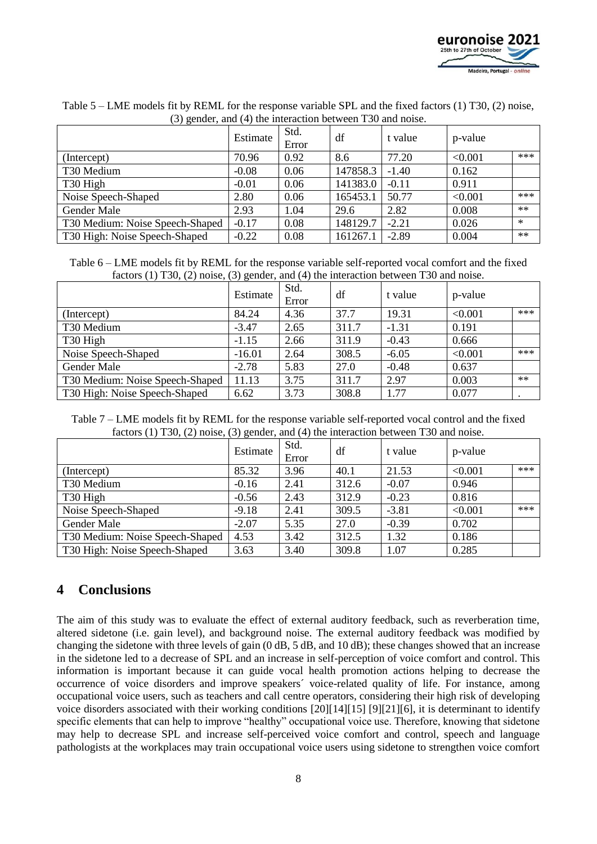

|                                 | Estimate | Std.<br>Error | df       | t value | p-value |        |
|---------------------------------|----------|---------------|----------|---------|---------|--------|
| (Intercept)                     | 70.96    | 0.92          | 8.6      | 77.20   | < 0.001 | ***    |
| T30 Medium                      | $-0.08$  | 0.06          | 147858.3 | $-1.40$ | 0.162   |        |
| T <sub>30</sub> High            | $-0.01$  | 0.06          | 141383.0 | $-0.11$ | 0.911   |        |
| Noise Speech-Shaped             | 2.80     | 0.06          | 165453.1 | 50.77   | < 0.001 | ***    |
| Gender Male                     | 2.93     | 1.04          | 29.6     | 2.82    | 0.008   | $**$   |
| T30 Medium: Noise Speech-Shaped | $-0.17$  | 0.08          | 148129.7 | $-2.21$ | 0.026   | $\ast$ |
| T30 High: Noise Speech-Shaped   | $-0.22$  | 0.08          | 161267.1 | $-2.89$ | 0.004   | $**$   |

Table 5 – LME models fit by REML for the response variable SPL and the fixed factors (1) T30, (2) noise, (3) gender, and (4) the interaction between T30 and noise.

Table 6 – LME models fit by REML for the response variable self-reported vocal comfort and the fixed factors (1) T30, (2) noise, (3) gender, and (4) the interaction between T30 and noise.

|                                 | .<br>Estimate | Std.<br>Error | df    | t value | p-value |       |
|---------------------------------|---------------|---------------|-------|---------|---------|-------|
| (Intercept)                     | 84.24         | 4.36          | 37.7  | 19.31   | < 0.001 | $***$ |
| T30 Medium                      | $-3.47$       | 2.65          | 311.7 | $-1.31$ | 0.191   |       |
| T <sub>30</sub> High            | $-1.15$       | 2.66          | 311.9 | $-0.43$ | 0.666   |       |
| Noise Speech-Shaped             | $-16.01$      | 2.64          | 308.5 | $-6.05$ | < 0.001 | $***$ |
| Gender Male                     | $-2.78$       | 5.83          | 27.0  | $-0.48$ | 0.637   |       |
| T30 Medium: Noise Speech-Shaped | 11.13         | 3.75          | 311.7 | 2.97    | 0.003   | $**$  |
| T30 High: Noise Speech-Shaped   | 6.62          | 3.73          | 308.8 | 1.77    | 0.077   |       |

Table 7 – LME models fit by REML for the response variable self-reported vocal control and the fixed factors (1) T30, (2) noise, (3) gender, and (4) the interaction between T30 and noise.

|                                 | Estimate | Std.<br>Error | df    | t value | p-value |     |
|---------------------------------|----------|---------------|-------|---------|---------|-----|
| (Intercept)                     | 85.32    | 3.96          | 40.1  | 21.53   | < 0.001 | *** |
| T30 Medium                      | $-0.16$  | 2.41          | 312.6 | $-0.07$ | 0.946   |     |
| T <sub>30</sub> High            | $-0.56$  | 2.43          | 312.9 | $-0.23$ | 0.816   |     |
| Noise Speech-Shaped             | $-9.18$  | 2.41          | 309.5 | $-3.81$ | < 0.001 | *** |
| Gender Male                     | $-2.07$  | 5.35          | 27.0  | $-0.39$ | 0.702   |     |
| T30 Medium: Noise Speech-Shaped | 4.53     | 3.42          | 312.5 | 1.32    | 0.186   |     |
| T30 High: Noise Speech-Shaped   | 3.63     | 3.40          | 309.8 | 1.07    | 0.285   |     |

# **4 Conclusions**

The aim of this study was to evaluate the effect of external auditory feedback, such as reverberation time, altered sidetone (i.e. gain level), and background noise. The external auditory feedback was modified by changing the sidetone with three levels of gain (0 dB, 5 dB, and 10 dB); these changes showed that an increase in the sidetone led to a decrease of SPL and an increase in self-perception of voice comfort and control. This information is important because it can guide vocal health promotion actions helping to decrease the occurrence of voice disorders and improve speakers´ voice-related quality of life. For instance, among occupational voice users, such as teachers and call centre operators, considering their high risk of developing voice disorders associated with their working conditions [\[20\]\[14\]](#page-9-5)[\[15\]](#page-9-1) [\[9\]\[21\]](#page-8-7)[\[6\],](#page-8-12) it is determinant to identify specific elements that can help to improve "healthy" occupational voice use. Therefore, knowing that sidetone may help to decrease SPL and increase self-perceived voice comfort and control, speech and language pathologists at the workplaces may train occupational voice users using sidetone to strengthen voice comfort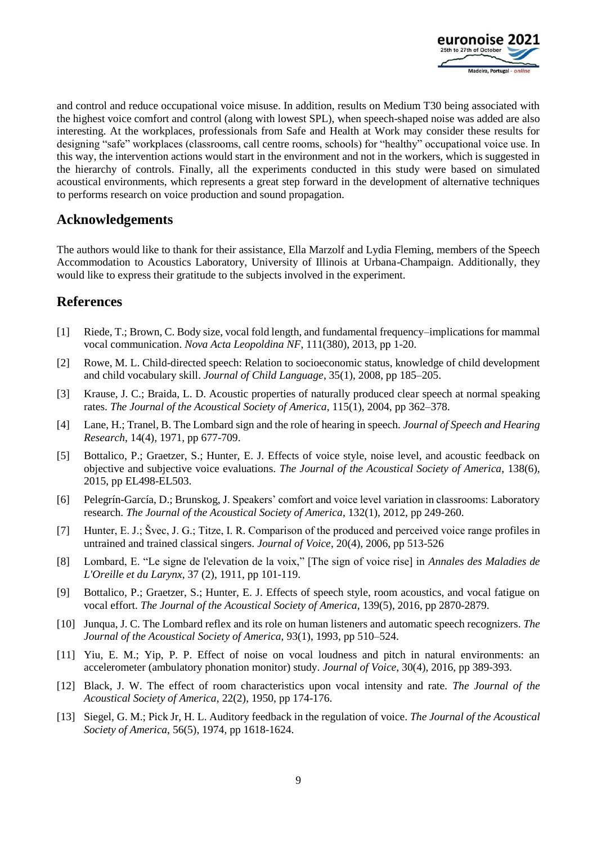

and control and reduce occupational voice misuse. In addition, results on Medium T30 being associated with the highest voice comfort and control (along with lowest SPL), when speech-shaped noise was added are also interesting. At the workplaces, professionals from Safe and Health at Work may consider these results for designing "safe" workplaces (classrooms, call centre rooms, schools) for "healthy" occupational voice use. In this way, the intervention actions would start in the environment and not in the workers, which is suggested in the hierarchy of controls. Finally, all the experiments conducted in this study were based on simulated acoustical environments, which represents a great step forward in the development of alternative techniques to performs research on voice production and sound propagation.

# **Acknowledgements**

The authors would like to thank for their assistance, Ella Marzolf and Lydia Fleming, members of the Speech Accommodation to Acoustics Laboratory, University of Illinois at Urbana-Champaign. Additionally, they would like to express their gratitude to the subjects involved in the experiment.

# **References**

- <span id="page-8-0"></span>[1] Riede, T.; Brown, C. Body size, vocal fold length, and fundamental frequency–implications for mammal vocal communication. *Nova Acta Leopoldina NF*, 111(380), 2013, pp 1-20.
- <span id="page-8-1"></span>[2] Rowe, M. L. Child-directed speech: Relation to socioeconomic status, knowledge of child development and child vocabulary skill. *Journal of Child Language*, 35(1), 2008, pp 185–205.
- <span id="page-8-2"></span>[3] Krause, J. C.; Braida, L. D. Acoustic properties of naturally produced clear speech at normal speaking rates. *The Journal of the Acoustical Society of America*, 115(1), 2004, pp 362–378.
- <span id="page-8-3"></span>[4] Lane, H.; Tranel, B. The Lombard sign and the role of hearing in speech. *Journal of Speech and Hearing Research*, 14(4), 1971, pp 677-709.
- <span id="page-8-4"></span>[5] Bottalico, P.; Graetzer, S.; Hunter, E. J. Effects of voice style, noise level, and acoustic feedback on objective and subjective voice evaluations. *The Journal of the Acoustical Society of America*, 138(6), 2015, pp EL498-EL503.
- <span id="page-8-12"></span>[6] Pelegrín-García, D.; Brunskog, J. Speakers' comfort and voice level variation in classrooms: Laboratory research. *The Journal of the Acoustical Society of America*, 132(1), 2012, pp 249-260.
- <span id="page-8-5"></span>[7] Hunter, E. J.; Švec, J. G.; Titze, I. R. Comparison of the produced and perceived voice range profiles in untrained and trained classical singers. *Journal of Voice*, 20(4), 2006, pp 513-526
- <span id="page-8-6"></span>[8] Lombard, E. "Le signe de l'elevation de la voix," [The sign of voice rise] in *Annales des Maladies de L'Oreille et du Larynx*, 37 (2), 1911, pp 101-119.
- <span id="page-8-7"></span>[9] Bottalico, P.; Graetzer, S.; Hunter, E. J. Effects of speech style, room acoustics, and vocal fatigue on vocal effort. *The Journal of the Acoustical Society of America*, 139(5), 2016, pp 2870-2879.
- <span id="page-8-8"></span>[10] Junqua, J. C. The Lombard reflex and its role on human listeners and automatic speech recognizers. *The Journal of the Acoustical Society of America*, 93(1), 1993, pp 510–524.
- <span id="page-8-9"></span>[11] Yiu, E. M.; Yip, P. P. Effect of noise on vocal loudness and pitch in natural environments: an accelerometer (ambulatory phonation monitor) study. *Journal of Voice*, 30(4), 2016, pp 389-393.
- <span id="page-8-10"></span>[12] Black, J. W. The effect of room characteristics upon vocal intensity and rate. *The Journal of the Acoustical Society of America*, 22(2), 1950, pp 174-176.
- <span id="page-8-11"></span>[13] Siegel, G. M.; Pick Jr, H. L. Auditory feedback in the regulation of voice. *The Journal of the Acoustical Society of America*, 56(5), 1974, pp 1618-1624.